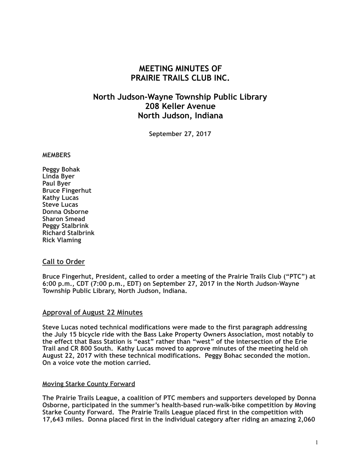# **MEETING MINUTES OF PRAIRIE TRAILS CLUB INC.**

# **North Judson-Wayne Township Public Library 208 Keller Avenue North Judson, Indiana**

**September 27, 2017**

#### **MEMBERS**

**Peggy Bohak Linda Byer Paul Byer Bruce Fingerhut Kathy Lucas Steve Lucas Donna Osborne Sharon Smead Peggy Stalbrink Richard Stalbrink Rick Vlaming**

## **Call to Order**

**Bruce Fingerhut, President, called to order a meeting of the Prairie Trails Club ("PTC") at 6:00 p.m., CDT (7:00 p.m., EDT) on September 27, 2017 in the North Judson-Wayne Township Public Library, North Judson, Indiana.**

#### **Approval of August 22 Minutes**

**Steve Lucas noted technical modifications were made to the first paragraph addressing the July 15 bicycle ride with the Bass Lake Property Owners Association, most notably to the effect that Bass Station is "east" rather than "west" of the intersection of the Erie Trail and CR 800 South. Kathy Lucas moved to approve minutes of the meeting held oh August 22, 2017 with these technical modifications. Peggy Bohac seconded the motion. On a voice vote the motion carried.**

#### **Moving Starke County Forward**

**The Prairie Trails League, a coalition of PTC members and supporters developed by Donna Osborne, participated in the summer's health-based run-walk-bike competition by Moving Starke County Forward. The Prairie Trails League placed first in the competition with 17,643 miles. Donna placed first in the individual category after riding an amazing 2,060**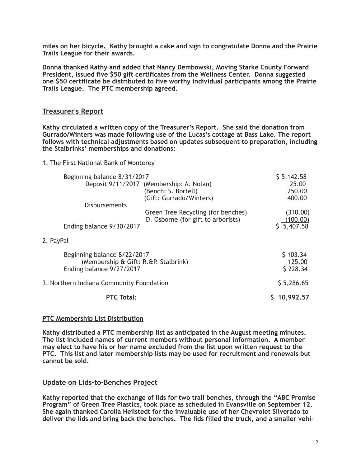**miles on her bicycle. Kathy brought a cake and sign to congratulate Donna and the Prairie Trails League for their awards.** 

**Donna thanked Kathy and added that Nancy Dembowski, Moving Starke County Forward President, issued five \$50 gift certificates from the Wellness Center. Donna suggested one \$50 certificate be distributed to five worthy individual participants among the Prairie Trails League. The PTC membership agreed.**

## **Treasurer's Report**

**Kathy circulated a written copy of the Treasurer's Report. She said the donation from Gurrado/Winters was made following use of the Lucas's cottage at Bass Lake. The report follows with technical adjustments based on updates subsequent to preparation, including the Stalbrinks' memberships and donations:** 

#### 1. The First National Bank of Monterey

| Beginning balance 8/31/2017              |                                          | \$5,142.58  |
|------------------------------------------|------------------------------------------|-------------|
|                                          | Deposit 9/11/2017 (Membership: A. Nolan) | 25.00       |
|                                          | (Bench: S. Bortell)                      | 250.00      |
|                                          | (Gift: Gurrado/Winters)                  | 400.00      |
| <b>Disbursements</b>                     |                                          |             |
|                                          | Green Tree Recycling (for benches)       | (310.00)    |
|                                          | D. Osborne (for gift to arborists)       | (100.00)    |
| Ending balance 9/30/2017                 |                                          | \$5,407.58  |
| 2. PayPal                                |                                          |             |
| Beginning balance 8/22/2017              |                                          | \$103.34    |
| (Membership & Gift: R.&P. Stalbrink)     |                                          | 125.00      |
| Ending balance 9/27/2017                 |                                          | \$228.34    |
|                                          |                                          |             |
| 3. Northern Indiana Community Foundation |                                          | \$ 5,286.65 |
| <b>PTC Total:</b>                        |                                          | 10,992.57   |
|                                          |                                          |             |

## **PTC Membership List Distribution**

**Kathy distributed a PTC membership list as anticipated in the August meeting minutes. The list included names of current members without personal information. A member may elect to have his or her name excluded from the list upon written request to the PTC. This list and later membership lists may be used for recruitment and renewals but cannot be sold.** 

## **Update on Lids-to-Benches Project**

**Kathy reported that the exchange of lids for two trail benches, through the "ABC Promise**  Program" of Green Tree Plastics, took place as scheduled in Evansville on September 12. **She again thanked Carolla Heilstedt for the invaluable use of her Chevrolet Silverado to deliver the lids and bring back the benches. The lids filled the truck, and a smaller vehi-**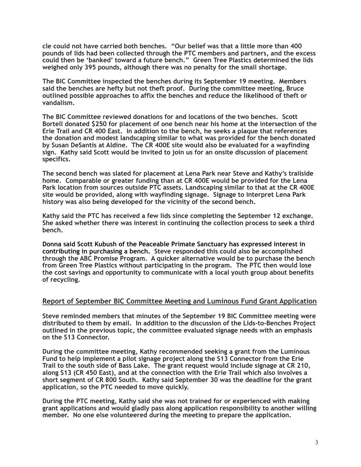**cle could not have carried both benches. "Our belief was that a little more than 400 pounds of lids had been collected through the PTC members and partners, and the excess could then be 'banked' toward a future bench." Green Tree Plastics determined the lids weighed only 395 pounds, although there was no penalty for the small shortage.** 

**The BIC Committee inspected the benches during its September 19 meeting. Members said the benches are hefty but not theft proof. During the committee meeting, Bruce outlined possible approaches to affix the benches and reduce the likelihood of theft or vandalism.** 

**The BIC Committee reviewed donations for and locations of the two benches. Scott Bortell donated \$250 for placement of one bench near his home at the intersection of the Erie Trail and CR 400 East. In addition to the bench, he seeks a plaque that references the donation and modest landscaping similar to what was provided for the bench donated by Susan DeSantis at Aldine. The CR 400E site would also be evaluated for a wayfinding sign. Kathy said Scott would be invited to join us for an onsite discussion of placement specifics.** 

**The second bench was slated for placement at Lena Park near Steve and Kathy's trailside home. Comparable or greater funding than at CR 400E would be provided for the Lena Park location from sources outside PTC assets. Landscaping similar to that at the CR 400E site would be provided, along with wayfinding signage. Signage to interpret Lena Park history was also being developed for the vicinity of the second bench.** 

**Kathy said the PTC has received a few lids since completing the September 12 exchange. She asked whether there was interest in continuing the collection process to seek a third bench.** 

**Donna said Scott Kubush of the Peaceable Primate Sanctuary has expressed interest in contributing in purchasing a bench. Steve responded this could also be accomplished through the ABC Promise Program. A quicker alternative would be to purchase the bench from Green Tree Plastics without participating in the program. The PTC then would lose the cost savings and opportunity to communicate with a local youth group about benefits of recycling.** 

## **Report of September BIC Committee Meeting and Luminous Fund Grant Application**

**Steve reminded members that minutes of the September 19 BIC Committee meeting were distributed to them by email. In addition to the discussion of the Lids-to-Benches Project outlined in the previous topic, the committee evaluated signage needs with an emphasis on the S13 Connector.** 

**During the committee meeting, Kathy recommended seeking a grant from the Luminous Fund to help implement a pilot signage project along the S13 Connector from the Erie Trail to the south side of Bass Lake. The grant request would include signage at CR 210, along S13 (CR 450 East), and at the connection with the Erie Trail which also involves a short segment of CR 800 South. Kathy said September 30 was the deadline for the grant application, so the PTC needed to move quickly.** 

**During the PTC meeting, Kathy said she was not trained for or experienced with making grant applications and would gladly pass along application responsibility to another willing member. No one else volunteered during the meeting to prepare the application.**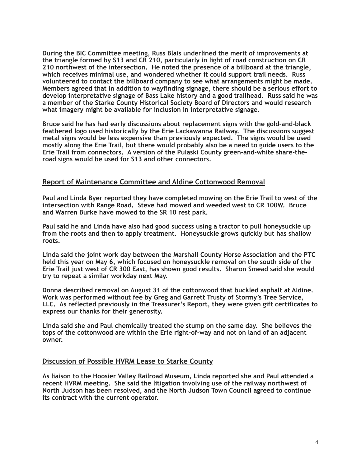**During the BIC Committee meeting, Russ Blais underlined the merit of improvements at the triangle formed by S13 and CR 210, particularly in light of road construction on CR 210 northwest of the intersection. He noted the presence of a billboard at the triangle, which receives minimal use, and wondered whether it could support trail needs. Russ volunteered to contact the billboard company to see what arrangements might be made. Members agreed that in addition to wayfinding signage, there should be a serious effort to develop interpretative signage of Bass Lake history and a good trailhead. Russ said he was a member of the Starke County Historical Society Board of Directors and would research what imagery might be available for inclusion in interpretative signage.** 

**Bruce said he has had early discussions about replacement signs with the gold-and-black feathered logo used historically by the Erie Lackawanna Railway. The discussions suggest metal signs would be less expensive than previously expected. The signs would be used mostly along the Erie Trail, but there would probably also be a need to guide users to the Erie Trail from connectors. A version of the Pulaski County green-and-white share-theroad signs would be used for S13 and other connectors.** 

## **Report of Maintenance Committee and Aldine Cottonwood Removal**

**Paul and Linda Byer reported they have completed mowing on the Erie Trail to west of the intersection with Range Road. Steve had mowed and weeded west to CR 100W. Bruce and Warren Burke have mowed to the SR 10 rest park.** 

**Paul said he and Linda have also had good success using a tractor to pull honeysuckle up from the roots and then to apply treatment. Honeysuckle grows quickly but has shallow roots.** 

**Linda said the joint work day between the Marshall County Horse Association and the PTC held this year on May 6, which focused on honeysuckle removal on the south side of the Erie Trail just west of CR 300 East, has shown good results. Sharon Smead said she would try to repeat a similar workday next May.** 

**Donna described removal on August 31 of the cottonwood that buckled asphalt at Aldine. Work was performed without fee by Greg and Garrett Trusty of Stormy's Tree Service, LLC. As reflected previously in the Treasurer's Report, they were given gift certificates to express our thanks for their generosity.** 

**Linda said she and Paul chemically treated the stump on the same day. She believes the tops of the cottonwood are within the Erie right-of-way and not on land of an adjacent owner.** 

## **Discussion of Possible HVRM Lease to Starke County**

**As liaison to the Hoosier Valley Railroad Museum, Linda reported she and Paul attended a recent HVRM meeting. She said the litigation involving use of the railway northwest of North Judson has been resolved, and the North Judson Town Council agreed to continue its contract with the current operator.**